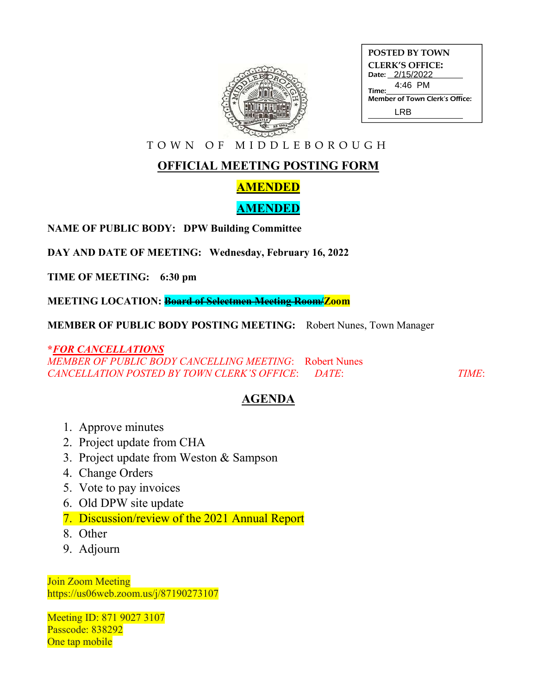

| <b>POSTED BY TOWN</b>                 |
|---------------------------------------|
| <b>CLERK'S OFFICE:</b>                |
| Date: 2/15/2022                       |
| 4:46 PM<br>Time:                      |
| <b>Member of Town Clerk's Office:</b> |
| I RR                                  |

T O W N O F M I D D L E B O R O U G H

# **OFFICIAL MEETING POSTING FORM**

## **AMENDED**

### **AMENDED**

**NAME OF PUBLIC BODY: DPW Building Committee**

**DAY AND DATE OF MEETING: Wednesday, February 16, 2022**

**TIME OF MEETING: 6:30 pm**

**MEETING LOCATION: Board of Selectmen Meeting Room/Zoom**

**MEMBER OF PUBLIC BODY POSTING MEETING:** Robert Nunes, Town Manager

### **\****FOR CANCELLATIONS*

*MEMBER OF PUBLIC BODY CANCELLING MEETING*: Robert Nunes *CANCELLATION POSTED BY TOWN CLERK'S OFFICE*: *DATE*: *TIME*:

### **AGENDA**

- 1. Approve minutes
- 2. Project update from CHA
- 3. Project update from Weston & Sampson
- 4. Change Orders
- 5. Vote to pay invoices
- 6. Old DPW site update
- 7. Discussion/review of the 2021 Annual Report
- 8. Other
- 9. Adjourn

Join Zoom Meeting https://us06web.zoom.us/j/87190273107

Meeting ID: 871 9027 3107 Passcode: 838292 One tap mobile